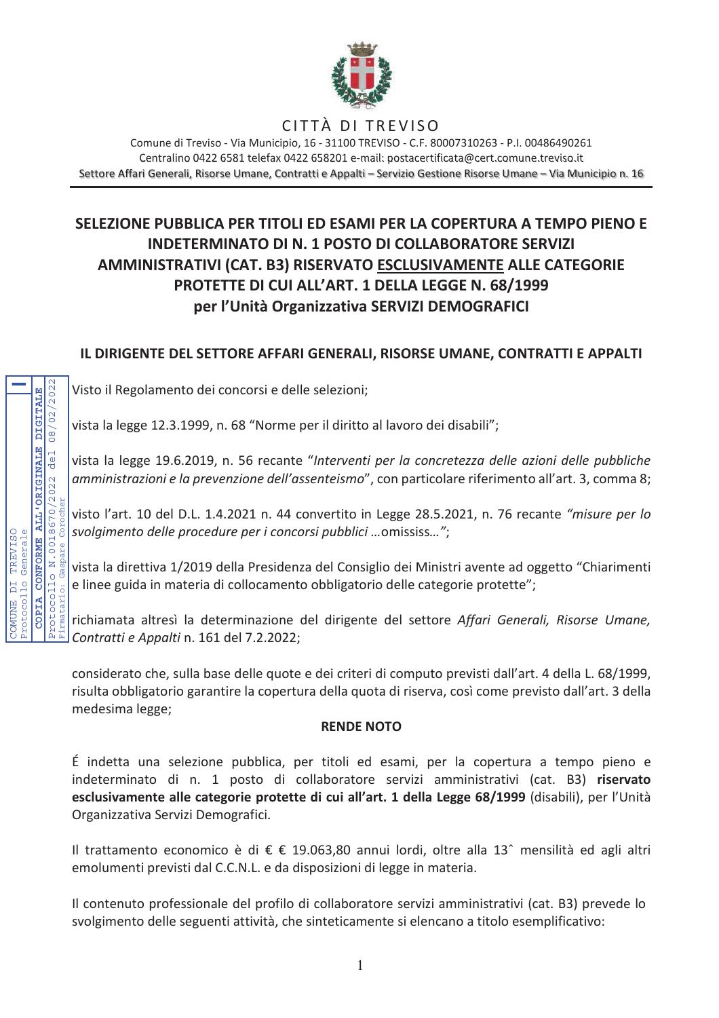

# CITTÀ DI TREVISO

Comune di Treviso - Via Municipio, 16 - 31100 TREVISO - C.E. 80007310263 - P.I. 00486490261 Centralino 0422 6581 telefax 0422 658201 e-mail: postacertificata@cert.comune.treviso.it Settore Affari Generali, Risorse Umane, Contratti e Appalti - Servizio Gestione Risorse Umane - Via Municipio n. 16

# SELEZIONE PUBBLICA PER TITOLI ED ESAMI PER LA COPERTURA A TEMPO PIENO E **INDETERMINATO DI N. 1 POSTO DI COLLABORATORE SERVIZI** AMMINISTRATIVI (CAT. B3) RISERVATO ESCLUSIVAMENTE ALLE CATEGORIE PROTETTE DI CUI ALL'ART. 1 DELLA LEGGE N. 68/1999 per l'Unità Organizzativa SERVIZI DEMOGRAFICI

# IL DIRIGENTE DEL SETTORE AFFARI GENERALI, RISORSE UMANE, CONTRATTI E APPALTI

Visto il Regolamento dei concorsi e delle selezioni;

vista la legge 12.3.1999, n. 68 "Norme per il diritto al lavoro dei disabili";

vista la legge 19.6.2019, n. 56 recante "Interventi per la concretezza delle azioni delle pubbliche amministrazioni e la prevenzione dell'assenteismo", con particolare riferimento all'art. 3, comma 8;

visto l'art. 10 del D.L. 1.4.2021 n. 44 convertito in Legge 28.5.2021, n. 76 recante "misure per lo svolgimento delle procedure per i concorsi pubblici ... omississ...";

vista la direttiva 1/2019 della Presidenza del Consiglio dei Ministri avente ad oggetto "Chiarimenti e linee guida in materia di collocamento obbligatorio delle categorie protette";

richiamata altresì la determinazione del dirigente del settore Affari Generali, Risorse Umane, Contratti e Appalti n. 161 del 7.2.2022;

considerato che, sulla base delle quote e dei criteri di computo previsti dall'art. 4 della L. 68/1999, risulta obbligatorio garantire la copertura della quota di riserva, così come previsto dall'art. 3 della medesima legge;

### **RENDE NOTO**

É indetta una selezione pubblica, per titoli ed esami, per la copertura a tempo pieno e indeterminato di n. 1 posto di collaboratore servizi amministrativi (cat. B3) riservato esclusivamente alle categorie protette di cui all'art. 1 della Legge 68/1999 (disabili), per l'Unità Organizzativa Servizi Demografici.

Il trattamento economico è di € € 19.063,80 annui lordi, oltre alla 13<sup>^</sup> mensilità ed agli altri emolumenti previsti dal C.C.N.L. e da disposizioni di legge in materia.

Il contenuto professionale del profilo di collaboratore servizi amministrativi (cat. B3) prevede lo svolgimento delle seguenti attività, che sinteticamente si elencano a titolo esemplificativo:

08/02/2022 **DIGITAL** CONFORME ALL'ORIGINALE del N.0018670/2022 TREVISO<br>Generale Gaspare ctocollo  $\overline{D}$ protocollo **ENLUMO COPIA**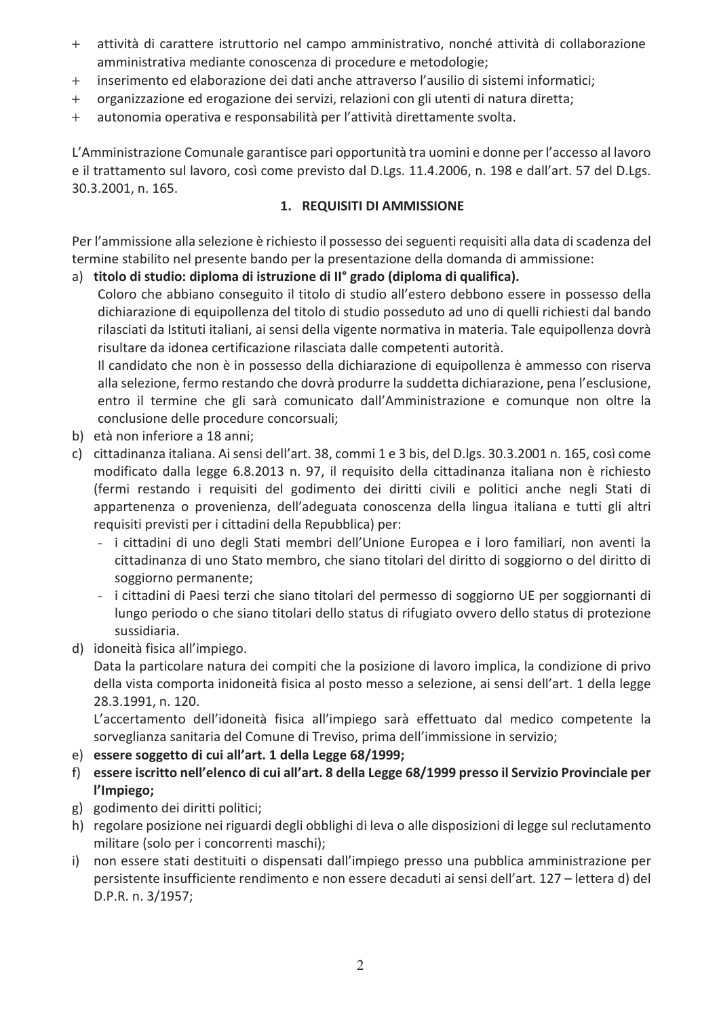- $+$ attività di carattere istruttorio nel campo amministrativo, nonché attività di collaborazione amministrativa mediante conoscenza di procedure e metodologie;
- inserimento ed elaborazione dei dati anche attraverso l'ausilio di sistemi informatici;  $+$
- organizzazione ed erogazione dei servizi, relazioni con gli utenti di natura diretta;  $+$
- autonomia operativa e responsabilità per l'attività direttamente svolta.  $+$

L'Amministrazione Comunale garantisce pari opportunità tra uomini e donne per l'accesso al lavoro e il trattamento sul lavoro, così come previsto dal D.Lgs. 11.4.2006, n. 198 e dall'art. 57 del D.Lgs. 30.3.2001, n. 165.

#### 1. REQUISITI DI AMMISSIONE

Per l'ammissione alla selezione è richiesto il possesso dei seguenti requisiti alla data di scadenza del termine stabilito nel presente bando per la presentazione della domanda di ammissione:

a) titolo di studio: diploma di istruzione di II° grado (diploma di qualifica).

Coloro che abbiano conseguito il titolo di studio all'estero debbono essere in possesso della dichiarazione di equipollenza del titolo di studio posseduto ad uno di quelli richiesti dal bando rilasciati da Istituti italiani, ai sensi della vigente normativa in materia. Tale equipollenza dovrà risultare da idonea certificazione rilasciata dalle competenti autorità.

Il candidato che non è in possesso della dichiarazione di equipollenza è ammesso con riserva alla selezione, fermo restando che dovrà produrre la suddetta dichiarazione, pena l'esclusione, entro il termine che gli sarà comunicato dall'Amministrazione e comunque non oltre la conclusione delle procedure concorsuali;

- b) età non inferiore a 18 anni;
- c) cittadinanza italiana. Ai sensi dell'art. 38, commi 1 e 3 bis, del D.lgs. 30.3.2001 n. 165, così come modificato dalla legge 6.8.2013 n. 97, il requisito della cittadinanza italiana non è richiesto (fermi restando i requisiti del godimento dei diritti civili e politici anche negli Stati di appartenenza o provenienza, dell'adeguata conoscenza della lingua italiana e tutti gli altri requisiti previsti per i cittadini della Repubblica) per:
	- i cittadini di uno degli Stati membri dell'Unione Europea e i loro familiari, non aventi la cittadinanza di uno Stato membro, che siano titolari del diritto di soggiorno o del diritto di soggiorno permanente;
	- i cittadini di Paesi terzi che siano titolari del permesso di soggiorno UE per soggiornanti di lungo periodo o che siano titolari dello status di rifugiato ovvero dello status di protezione sussidiaria.
- d) idoneità fisica all'impiego.

Data la particolare natura dei compiti che la posizione di lavoro implica, la condizione di privo della vista comporta inidoneità fisica al posto messo a selezione, ai sensi dell'art. 1 della legge 28.3.1991, n. 120.

L'accertamento dell'idoneità fisica all'impiego sarà effettuato dal medico competente la sorveglianza sanitaria del Comune di Treviso, prima dell'immissione in servizio;

- e) essere soggetto di cui all'art. 1 della Legge 68/1999;
- f) essere iscritto nell'elenco di cui all'art. 8 della Legge 68/1999 presso il Servizio Provinciale per l'Impiego;
- g) godimento dei diritti politici;
- h) regolare posizione nei riguardi degli obblighi di leva o alle disposizioni di legge sul reclutamento militare (solo per i concorrenti maschi);
- i) non essere stati destituiti o dispensati dall'impiego presso una pubblica amministrazione per persistente insufficiente rendimento e non essere decaduti ai sensi dell'art. 127 - lettera d) del D.P.R. n. 3/1957;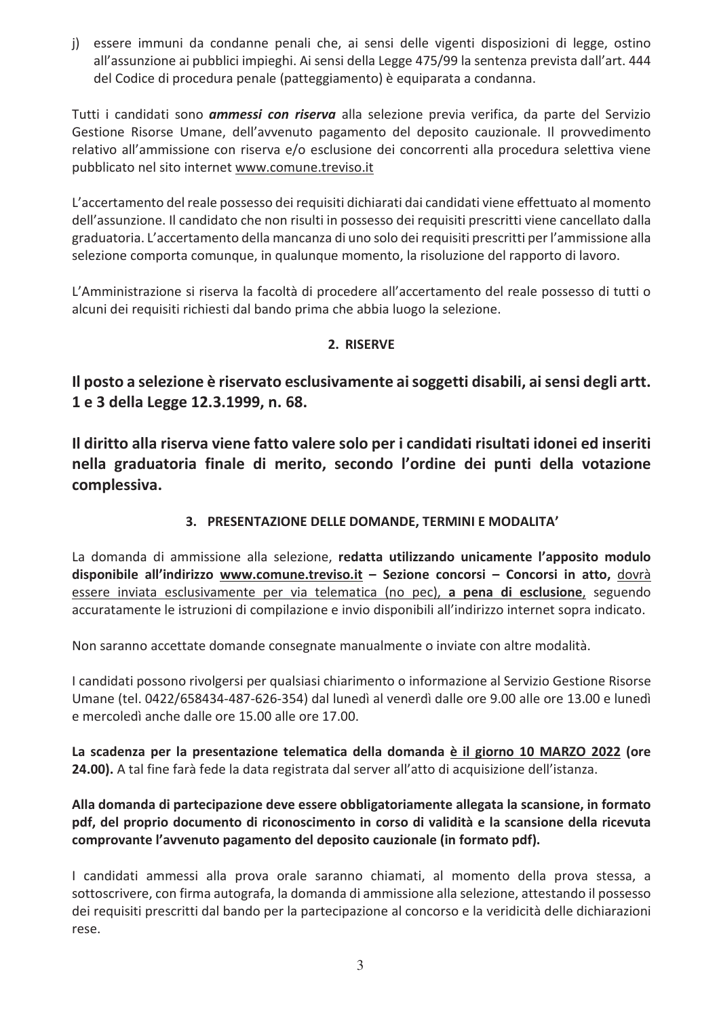j) essere immuni da condanne penali che, ai sensi delle vigenti disposizioni di legge, ostino all'assunzione ai pubblici impieghi. Ai sensi della Legge 475/99 la sentenza prevista dall'art. 444 del Codice di procedura penale (patteggiamento) è equiparata a condanna.

Tutti i candidati sono *ammessi con riserva* alla selezione previa verifica, da parte del Servizio Gestione Risorse Umane, dell'avvenuto pagamento del deposito cauzionale. Il provvedimento relativo all'ammissione con riserva e/o esclusione dei concorrenti alla procedura selettiva viene pubblicato nel sito internet www.comune.treviso.it

L'accertamento del reale possesso dei requisiti dichiarati dai candidati viene effettuato al momento dell'assunzione. Il candidato che non risulti in possesso dei requisiti prescritti viene cancellato dalla graduatoria. L'accertamento della mancanza di uno solo dei requisiti prescritti per l'ammissione alla selezione comporta comunque, in qualunque momento, la risoluzione del rapporto di lavoro.

L'Amministrazione si riserva la facoltà di procedere all'accertamento del reale possesso di tutti o alcuni dei requisiti richiesti dal bando prima che abbia luogo la selezione.

### 2. RISERVE

Il posto a selezione è riservato esclusivamente ai soggetti disabili, ai sensi degli artt. 1 e 3 della Legge 12.3.1999, n. 68.

Il diritto alla riserva viene fatto valere solo per i candidati risultati idonei ed inseriti nella graduatoria finale di merito, secondo l'ordine dei punti della votazione complessiva.

### 3. PRESENTAZIONE DELLE DOMANDE, TERMINI E MODALITA'

La domanda di ammissione alla selezione, redatta utilizzando unicamente l'apposito modulo disponibile all'indirizzo www.comune.treviso.it - Sezione concorsi - Concorsi in atto, dovrà essere inviata esclusivamente per via telematica (no pec), a pena di esclusione, seguendo accuratamente le istruzioni di compilazione e invio disponibili all'indirizzo internet sopra indicato.

Non saranno accettate domande consegnate manualmente o inviate con altre modalità.

I candidati possono rivolgersi per qualsiasi chiarimento o informazione al Servizio Gestione Risorse Umane (tel. 0422/658434-487-626-354) dal lunedì al venerdì dalle ore 9.00 alle ore 13.00 e lunedì e mercoledì anche dalle ore 15.00 alle ore 17.00.

La scadenza per la presentazione telematica della domanda è il giorno 10 MARZO 2022 (ore 24.00). A tal fine farà fede la data registrata dal server all'atto di acquisizione dell'istanza.

Alla domanda di partecipazione deve essere obbligatoriamente allegata la scansione, in formato pdf, del proprio documento di riconoscimento in corso di validità e la scansione della ricevuta comprovante l'avvenuto pagamento del deposito cauzionale (in formato pdf).

I candidati ammessi alla prova orale saranno chiamati, al momento della prova stessa, a sottoscrivere, con firma autografa, la domanda di ammissione alla selezione, attestando il possesso dei requisiti prescritti dal bando per la partecipazione al concorso e la veridicità delle dichiarazioni rese.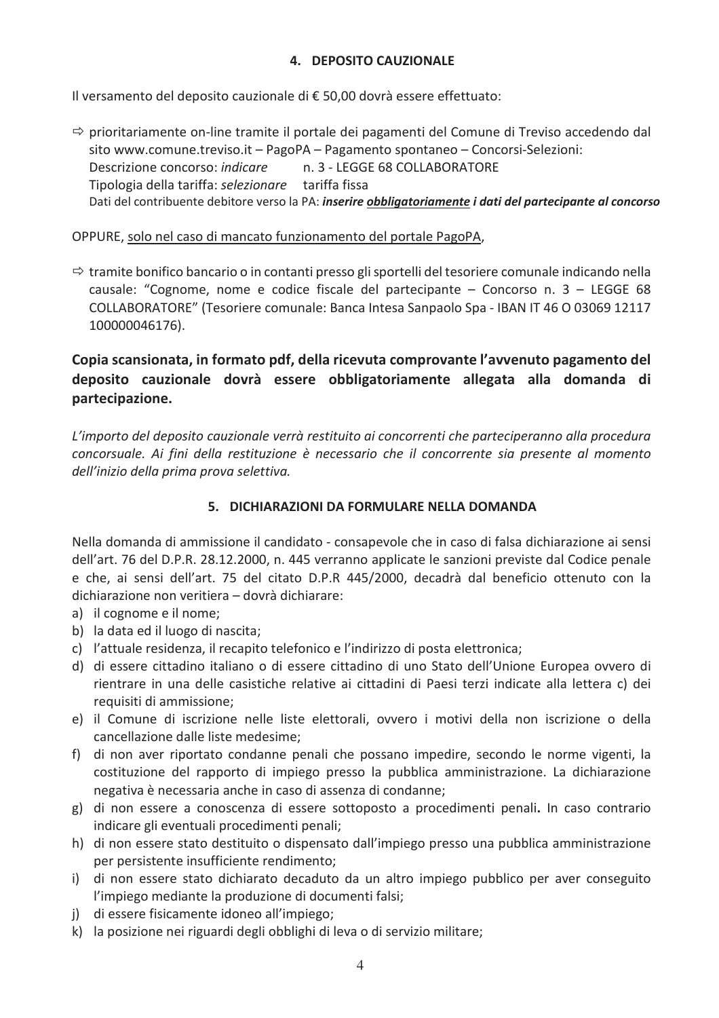### 4. DEPOSITO CAUZIONALE

Il versamento del deposito cauzionale di € 50,00 dovrà essere effettuato:

 $\Rightarrow$  prioritariamente on-line tramite il portale dei pagamenti del Comune di Treviso accedendo dal sito www.comune.treviso.it - PagoPA - Pagamento spontaneo - Concorsi-Selezioni: Descrizione concorso: *indicare* n. 3 - LEGGE 68 COLLABORATORE Tipologia della tariffa: selezionare tariffa fissa Dati del contribuente debitore verso la PA: inserire *obbligatoriamente i dati del partecipante al concorso* 

### OPPURE, solo nel caso di mancato funzionamento del portale PagoPA,

 $\Rightarrow$  tramite bonifico bancario o in contanti presso gli sportelli del tesoriere comunale indicando nella causale: "Cognome, nome e codice fiscale del partecipante - Concorso n.  $3 -$  LEGGE 68 COLLABORATORE" (Tesoriere comunale: Banca Intesa Sanpaolo Spa - IBAN IT 46 O 03069 12117 100000046176).

# Copia scansionata, in formato pdf, della ricevuta comprovante l'avvenuto pagamento del deposito cauzionale dovrà essere obbligatoriamente allegata alla domanda di partecipazione.

L'importo del deposito cauzionale verrà restituito ai concorrenti che parteciperanno alla procedura concorsuale. Ai fini della restituzione è necessario che il concorrente sia presente al momento dell'inizio della prima prova selettiva.

### 5. DICHIARAZIONI DA FORMULARE NELLA DOMANDA

Nella domanda di ammissione il candidato - consapevole che in caso di falsa dichiarazione ai sensi dell'art. 76 del D.P.R. 28.12.2000, n. 445 verranno applicate le sanzioni previste dal Codice penale e che, ai sensi dell'art. 75 del citato D.P.R 445/2000, decadrà dal beneficio ottenuto con la dichiarazione non veritiera – dovrà dichiarare:

- a) il cognome e il nome;
- b) la data ed il luogo di nascita;
- c) l'attuale residenza, il recapito telefonico e l'indirizzo di posta elettronica;
- d) di essere cittadino italiano o di essere cittadino di uno Stato dell'Unione Europea ovvero di rientrare in una delle casistiche relative ai cittadini di Paesi terzi indicate alla lettera c) dei requisiti di ammissione;
- e) il Comune di iscrizione nelle liste elettorali, ovvero i motivi della non iscrizione o della cancellazione dalle liste medesime;
- f) di non aver riportato condanne penali che possano impedire, secondo le norme vigenti, la costituzione del rapporto di impiego presso la pubblica amministrazione. La dichiarazione negativa è necessaria anche in caso di assenza di condanne;
- g) di non essere a conoscenza di essere sottoposto a procedimenti penali. In caso contrario indicare gli eventuali procedimenti penali;
- h) di non essere stato destituito o dispensato dall'impiego presso una pubblica amministrazione per persistente insufficiente rendimento;
- i) di non essere stato dichiarato decaduto da un altro impiego pubblico per aver conseguito l'impiego mediante la produzione di documenti falsi;
- i) di essere fisicamente idoneo all'impiego;
- k) la posizione nei riguardi degli obblighi di leva o di servizio militare;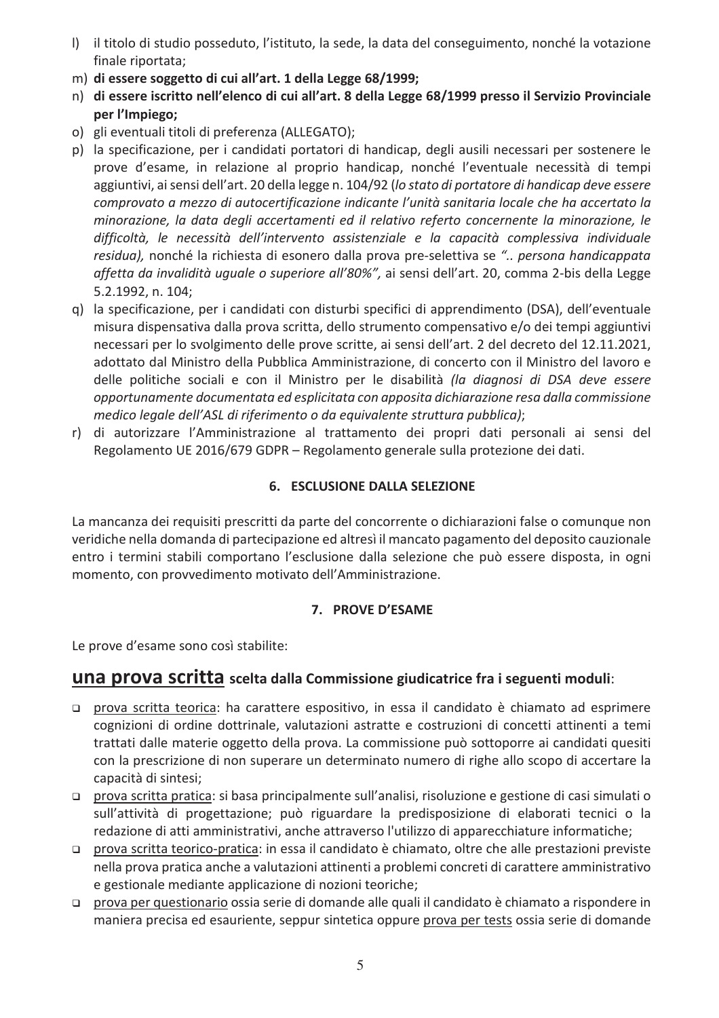- I) il titolo di studio posseduto, l'istituto, la sede, la data del conseguimento, nonché la votazione finale riportata;
- m) di essere soggetto di cui all'art. 1 della Legge 68/1999;
- n) di essere iscritto nell'elenco di cui all'art. 8 della Legge 68/1999 presso il Servizio Provinciale per l'Impiego;
- o) gli eventuali titoli di preferenza (ALLEGATO);
- p) la specificazione, per i candidati portatori di handicap, degli ausili necessari per sostenere le prove d'esame, in relazione al proprio handicap, nonché l'eventuale necessità di tempi aggiuntivi, ai sensi dell'art. 20 della legge n. 104/92 (lo stato di portatore di handicap deve essere comprovato a mezzo di autocertificazione indicante l'unità sanitaria locale che ha accertato la minorazione, la data degli accertamenti ed il relativo referto concernente la minorazione, le difficoltà, le necessità dell'intervento assistenziale e la capacità complessiva individuale residua), nonché la richiesta di esonero dalla prova pre-selettiva se ".. persona handicappata affetta da invalidità uguale o superiore all'80%", ai sensi dell'art. 20, comma 2-bis della Legge 5.2.1992, n. 104;
- q) la specificazione, per i candidati con disturbi specifici di apprendimento (DSA), dell'eventuale misura dispensativa dalla prova scritta, dello strumento compensativo e/o dei tempi aggiuntivi necessari per lo svolgimento delle prove scritte, ai sensi dell'art. 2 del decreto del 12.11.2021, adottato dal Ministro della Pubblica Amministrazione, di concerto con il Ministro del lavoro e delle politiche sociali e con il Ministro per le disabilità (la diagnosi di DSA deve essere opportunamente documentata ed esplicitata con apposita dichiarazione resa dalla commissione medico legale dell'ASL di riferimento o da equivalente struttura pubblica);
- r) di autorizzare l'Amministrazione al trattamento dei propri dati personali ai sensi del Regolamento UE 2016/679 GDPR - Regolamento generale sulla protezione dei dati.

# **6. ESCLUSIONE DALLA SELEZIONE**

La mancanza dei requisiti prescritti da parte del concorrente o dichiarazioni false o comunque non veridiche nella domanda di partecipazione ed altresì il mancato pagamento del deposito cauzionale entro i termini stabili comportano l'esclusione dalla selezione che può essere disposta, in ogni momento, con provvedimento motivato dell'Amministrazione.

### 7. PROVE D'ESAME

Le prove d'esame sono così stabilite:

# **una prova scritta** scelta dalla Commissione giudicatrice fra i seguenti moduli:

- prova scritta teorica: ha carattere espositivo, in essa il candidato è chiamato ad esprimere cognizioni di ordine dottrinale, valutazioni astratte e costruzioni di concetti attinenti a temi trattati dalle materie oggetto della prova. La commissione può sottoporre ai candidati quesiti con la prescrizione di non superare un determinato numero di righe allo scopo di accertare la capacità di sintesi;
- prova scritta pratica: si basa principalmente sull'analisi, risoluzione e gestione di casi simulati o sull'attività di progettazione; può riguardare la predisposizione di elaborati tecnici o la redazione di atti amministrativi, anche attraverso l'utilizzo di apparecchiature informatiche;
- prova scritta teorico-pratica: in essa il candidato è chiamato, oltre che alle prestazioni previste nella prova pratica anche a valutazioni attinenti a problemi concreti di carattere amministrativo e gestionale mediante applicazione di nozioni teoriche;
- prova per questionario ossia serie di domande alle quali il candidato è chiamato a rispondere in maniera precisa ed esauriente, seppur sintetica oppure prova per tests ossia serie di domande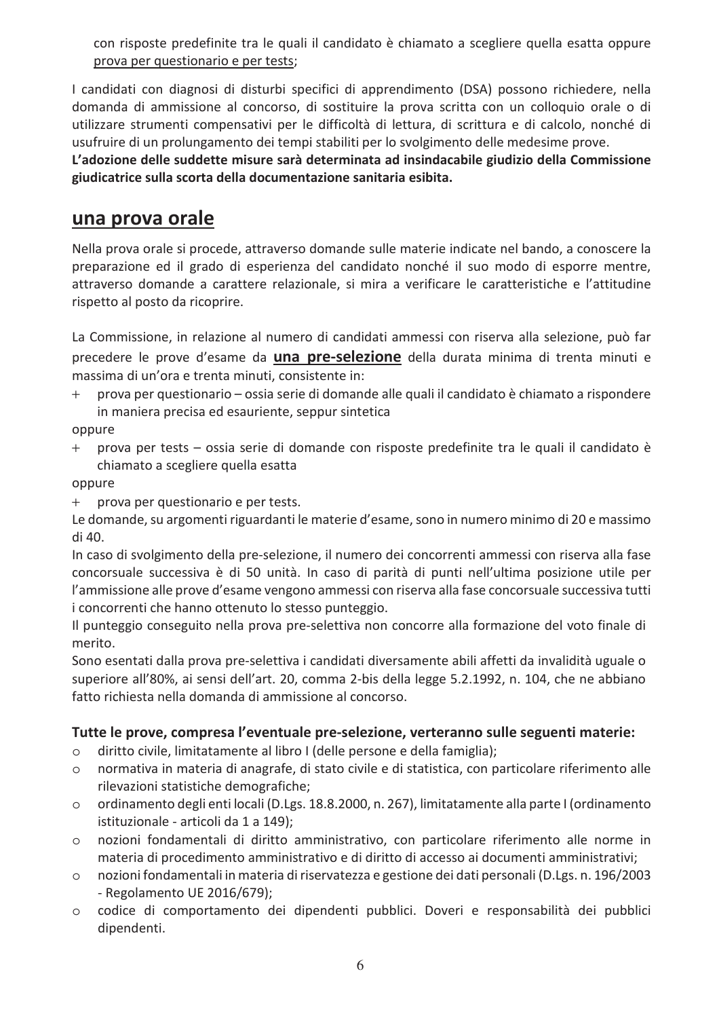con risposte predefinite tra le quali il candidato è chiamato a scegliere quella esatta oppure prova per questionario e per tests:

I candidati con diagnosi di disturbi specifici di apprendimento (DSA) possono richiedere, nella domanda di ammissione al concorso, di sostituire la prova scritta con un colloquio orale o di utilizzare strumenti compensativi per le difficoltà di lettura, di scrittura e di calcolo, nonché di usufruire di un prolungamento dei tempi stabiliti per lo svolgimento delle medesime prove.

L'adozione delle suddette misure sarà determinata ad insindacabile giudizio della Commissione giudicatrice sulla scorta della documentazione sanitaria esibita.

# una prova orale

Nella prova orale si procede, attraverso domande sulle materie indicate nel bando, a conoscere la preparazione ed il grado di esperienza del candidato nonché il suo modo di esporre mentre, attraverso domande a carattere relazionale, si mira a verificare le caratteristiche e l'attitudine rispetto al posto da ricoprire.

La Commissione, in relazione al numero di candidati ammessi con riserva alla selezione, può far precedere le prove d'esame da **una pre-selezione** della durata minima di trenta minuti e massima di un'ora e trenta minuti, consistente in:

prova per questionario - ossia serie di domande alle quali il candidato è chiamato a rispondere  $+$ in maniera precisa ed esauriente, seppur sintetica

oppure

prova per tests – ossia serie di domande con risposte predefinite tra le quali il candidato è  $+$ chiamato a scegliere quella esatta

oppure

prova per questionario e per tests.  $+$ 

Le domande, su argomenti riguardanti le materie d'esame, sono in numero minimo di 20 e massimo di 40.

In caso di svolgimento della pre-selezione, il numero dei concorrenti ammessi con riserva alla fase concorsuale successiva è di 50 unità. In caso di parità di punti nell'ultima posizione utile per l'ammissione alle prove d'esame vengono ammessi con riserva alla fase concorsuale successiva tutti i concorrenti che hanno ottenuto lo stesso punteggio.

Il punteggio conseguito nella prova pre-selettiva non concorre alla formazione del voto finale di merito.

Sono esentati dalla prova pre-selettiva i candidati diversamente abili affetti da invalidità uguale o superiore all'80%, ai sensi dell'art. 20, comma 2-bis della legge 5.2.1992, n. 104, che ne abbiano fatto richiesta nella domanda di ammissione al concorso.

### Tutte le prove, compresa l'eventuale pre-selezione, verteranno sulle seguenti materie:

- diritto civile, limitatamente al libro I (delle persone e della famiglia);  $\circ$
- normativa in materia di anagrafe, di stato civile e di statistica, con particolare riferimento alle  $\circ$ rilevazioni statistiche demografiche;
- ordinamento degli enti locali (D.Lgs. 18.8.2000, n. 267), limitatamente alla parte I (ordinamento  $\circ$ istituzionale - articoli da 1 a 149);
- nozioni fondamentali di diritto amministrativo, con particolare riferimento alle norme in  $\circ$ materia di procedimento amministrativo e di diritto di accesso ai documenti amministrativi;
- nozioni fondamentali in materia di riservatezza e gestione dei dati personali (D.Lgs. n. 196/2003  $\circ$ - Regolamento UE 2016/679);
- codice di comportamento dei dipendenti pubblici. Doveri e responsabilità dei pubblici  $\circ$ dipendenti.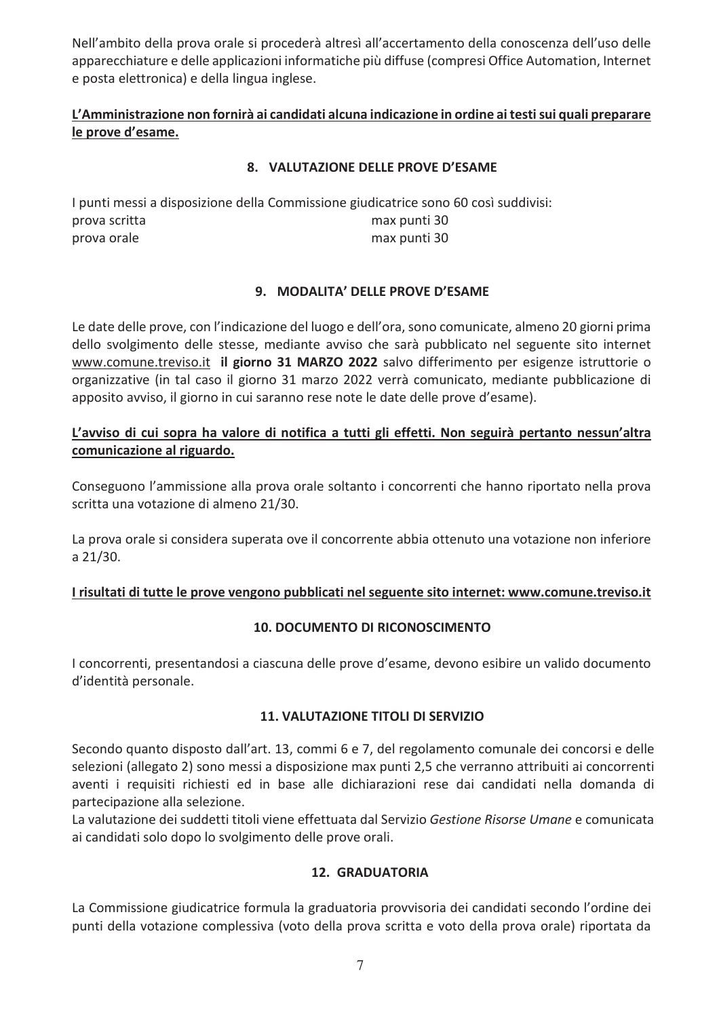Nell'ambito della prova orale si procederà altresì all'accertamento della conoscenza dell'uso delle apparecchiature e delle applicazioni informatiche più diffuse (compresi Office Automation, Internet e posta elettronica) e della lingua inglese.

### L'Amministrazione non fornirà ai candidati alcuna indicazione in ordine ai testi sui quali preparare le prove d'esame.

### 8. VALUTAZIONE DELLE PROVE D'ESAME

I punti messi a disposizione della Commissione giudicatrice sono 60 così suddivisi: prova scritta max punti 30 prova orale max punti 30

### 9. MODALITA' DELLE PROVE D'ESAME

Le date delle prove, con l'indicazione del luogo e dell'ora, sono comunicate, almeno 20 giorni prima dello svolgimento delle stesse, mediante avviso che sarà pubblicato nel seguente sito internet www.comune.treviso.it il giorno 31 MARZO 2022 salvo differimento per esigenze istruttorie o organizzative (in tal caso il giorno 31 marzo 2022 verrà comunicato, mediante pubblicazione di apposito avviso, il giorno in cui saranno rese note le date delle prove d'esame).

### L'avviso di cui sopra ha valore di notifica a tutti gli effetti. Non seguirà pertanto nessun'altra comunicazione al riguardo.

Conseguono l'ammissione alla prova orale soltanto i concorrenti che hanno riportato nella prova scritta una votazione di almeno 21/30.

La prova orale si considera superata ove il concorrente abbia ottenuto una votazione non inferiore a 21/30.

### I risultati di tutte le prove vengono pubblicati nel seguente sito internet: www.comune.treviso.it

### **10. DOCUMENTO DI RICONOSCIMENTO**

I concorrenti, presentandosi a ciascuna delle prove d'esame, devono esibire un valido documento d'identità personale.

#### **11. VALUTAZIONE TITOLI DI SERVIZIO**

Secondo quanto disposto dall'art. 13, commi 6 e 7, del regolamento comunale dei concorsi e delle selezioni (allegato 2) sono messi a disposizione max punti 2,5 che verranno attribuiti ai concorrenti aventi i requisiti richiesti ed in base alle dichiarazioni rese dai candidati nella domanda di partecipazione alla selezione.

La valutazione dei suddetti titoli viene effettuata dal Servizio Gestione Risorse Umane e comunicata ai candidati solo dopo lo svolgimento delle prove orali.

### **12. GRADUATORIA**

La Commissione giudicatrice formula la graduatoria provvisoria dei candidati secondo l'ordine dei punti della votazione complessiva (voto della prova scritta e voto della prova orale) riportata da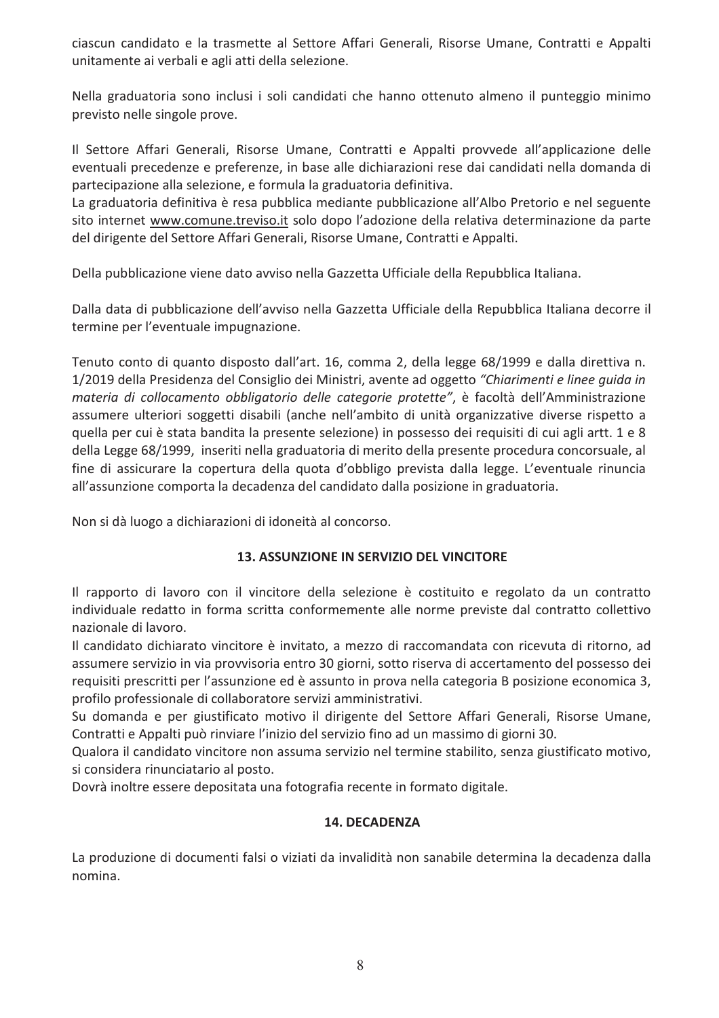ciascun candidato e la trasmette al Settore Affari Generali, Risorse Umane, Contratti e Appalti unitamente ai verbali e agli atti della selezione.

Nella graduatoria sono inclusi i soli candidati che hanno ottenuto almeno il punteggio minimo previsto nelle singole prove.

Il Settore Affari Generali, Risorse Umane, Contratti e Appalti provvede all'applicazione delle eventuali precedenze e preferenze, in base alle dichiarazioni rese dai candidati nella domanda di partecipazione alla selezione, e formula la graduatoria definitiva.

La graduatoria definitiva è resa pubblica mediante pubblicazione all'Albo Pretorio e nel seguente sito internet www.comune.treviso.it solo dopo l'adozione della relativa determinazione da parte del dirigente del Settore Affari Generali, Risorse Umane, Contratti e Appalti.

Della pubblicazione viene dato avviso nella Gazzetta Ufficiale della Repubblica Italiana.

Dalla data di pubblicazione dell'avviso nella Gazzetta Ufficiale della Repubblica Italiana decorre il termine per l'eventuale impugnazione.

Tenuto conto di quanto disposto dall'art. 16, comma 2, della legge 68/1999 e dalla direttiva n. 1/2019 della Presidenza del Consiglio dei Ministri, avente ad oggetto "Chiarimenti e linee quida in materia di collocamento obbligatorio delle categorie protette", è facoltà dell'Amministrazione assumere ulteriori soggetti disabili (anche nell'ambito di unità organizzative diverse rispetto a quella per cui è stata bandita la presente selezione) in possesso dei requisiti di cui agli artt. 1 e 8 della Legge 68/1999, inseriti nella graduatoria di merito della presente procedura concorsuale, al fine di assicurare la copertura della quota d'obbligo prevista dalla legge. L'eventuale rinuncia all'assunzione comporta la decadenza del candidato dalla posizione in graduatoria.

Non si dà luogo a dichiarazioni di idoneità al concorso.

### **13. ASSUNZIONE IN SERVIZIO DEL VINCITORE**

Il rapporto di lavoro con il vincitore della selezione è costituito e regolato da un contratto individuale redatto in forma scritta conformemente alle norme previste dal contratto collettivo nazionale di lavoro.

Il candidato dichiarato vincitore è invitato, a mezzo di raccomandata con ricevuta di ritorno, ad assumere servizio in via provvisoria entro 30 giorni, sotto riserva di accertamento del possesso dei requisiti prescritti per l'assunzione ed è assunto in prova nella categoria B posizione economica 3, profilo professionale di collaboratore servizi amministrativi.

Su domanda e per giustificato motivo il dirigente del Settore Affari Generali, Risorse Umane, Contratti e Appalti può rinviare l'inizio del servizio fino ad un massimo di giorni 30.

Qualora il candidato vincitore non assuma servizio nel termine stabilito, senza giustificato motivo, si considera rinunciatario al posto.

Dovrà inoltre essere depositata una fotografia recente in formato digitale.

### **14. DECADENZA**

La produzione di documenti falsi o viziati da invalidità non sanabile determina la decadenza dalla nomina.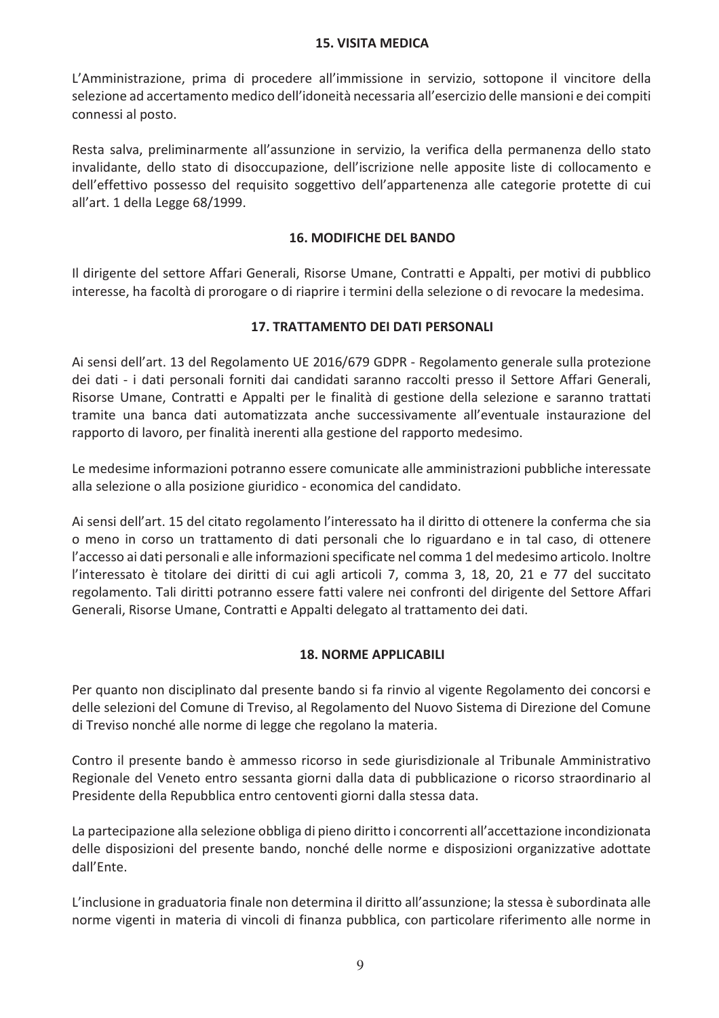#### **15. VISITA MEDICA**

L'Amministrazione, prima di procedere all'immissione in servizio, sottopone il vincitore della selezione ad accertamento medico dell'idoneità necessaria all'esercizio delle mansioni e dei compiti connessi al posto.

Resta salva, preliminarmente all'assunzione in servizio, la verifica della permanenza dello stato invalidante, dello stato di disoccupazione, dell'iscrizione nelle apposite liste di collocamento e dell'effettivo possesso del requisito soggettivo dell'appartenenza alle categorie protette di cui all'art. 1 della Legge 68/1999.

### **16. MODIFICHE DEL BANDO**

Il dirigente del settore Affari Generali, Risorse Umane, Contratti e Appalti, per motivi di pubblico interesse, ha facoltà di prorogare o di riaprire i termini della selezione o di revocare la medesima.

### **17. TRATTAMENTO DEI DATI PERSONALI**

Ai sensi dell'art. 13 del Regolamento UE 2016/679 GDPR - Regolamento generale sulla protezione dei dati - i dati personali forniti dai candidati saranno raccolti presso il Settore Affari Generali, Risorse Umane, Contratti e Appalti per le finalità di gestione della selezione e saranno trattati tramite una banca dati automatizzata anche successivamente all'eventuale instaurazione del rapporto di lavoro, per finalità inerenti alla gestione del rapporto medesimo.

Le medesime informazioni potranno essere comunicate alle amministrazioni pubbliche interessate alla selezione o alla posizione giuridico - economica del candidato.

Ai sensi dell'art. 15 del citato regolamento l'interessato ha il diritto di ottenere la conferma che sia o meno in corso un trattamento di dati personali che lo riguardano e in tal caso, di ottenere l'accesso ai dati personali e alle informazioni specificate nel comma 1 del medesimo articolo. Inoltre l'interessato è titolare dei diritti di cui agli articoli 7, comma 3, 18, 20, 21 e 77 del succitato regolamento. Tali diritti potranno essere fatti valere nei confronti del dirigente del Settore Affari Generali, Risorse Umane, Contratti e Appalti delegato al trattamento dei dati.

### **18. NORME APPLICABILI**

Per quanto non disciplinato dal presente bando si fa rinvio al vigente Regolamento dei concorsi e delle selezioni del Comune di Treviso, al Regolamento del Nuovo Sistema di Direzione del Comune di Treviso nonché alle norme di legge che regolano la materia.

Contro il presente bando è ammesso ricorso in sede giurisdizionale al Tribunale Amministrativo Regionale del Veneto entro sessanta giorni dalla data di pubblicazione o ricorso straordinario al Presidente della Repubblica entro centoventi giorni dalla stessa data.

La partecipazione alla selezione obbliga di pieno diritto i concorrenti all'accettazione incondizionata delle disposizioni del presente bando, nonché delle norme e disposizioni organizzative adottate dall'Ente.

L'inclusione in graduatoria finale non determina il diritto all'assunzione; la stessa è subordinata alle norme vigenti in materia di vincoli di finanza pubblica, con particolare riferimento alle norme in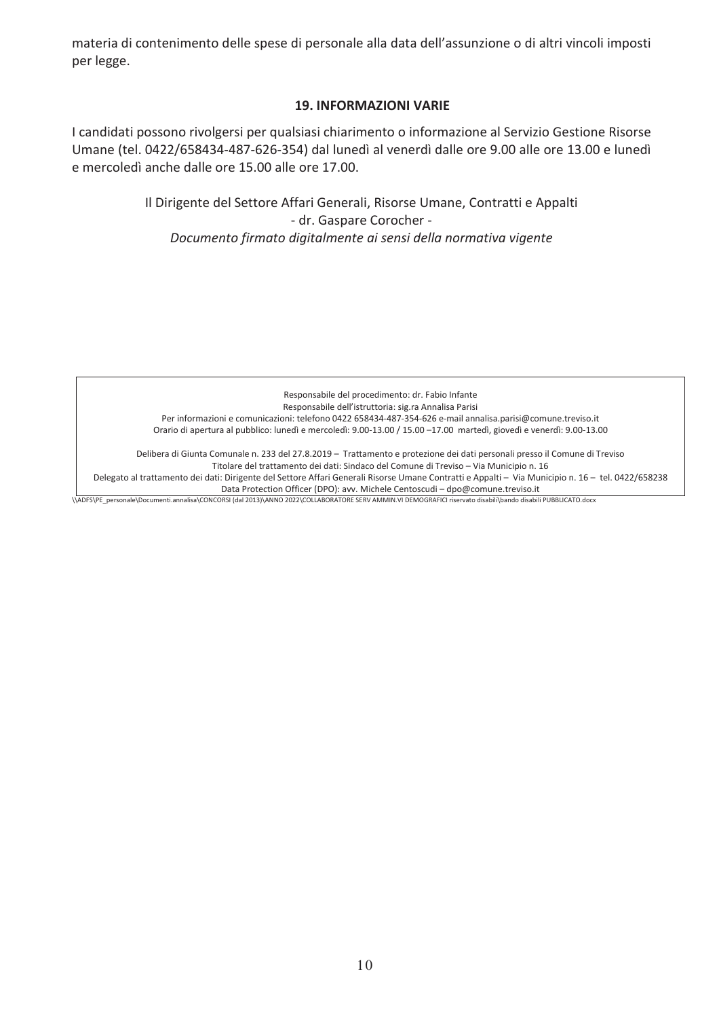materia di contenimento delle spese di personale alla data dell'assunzione o di altri vincoli imposti per legge.

#### **19. INFORMAZIONI VARIE**

I candidati possono rivolgersi per qualsiasi chiarimento o informazione al Servizio Gestione Risorse Umane (tel. 0422/658434-487-626-354) dal lunedì al venerdì dalle ore 9.00 alle ore 13.00 e lunedì e mercoledì anche dalle ore 15.00 alle ore 17.00.

> Il Dirigente del Settore Affari Generali, Risorse Umane, Contratti e Appalti - dr. Gaspare Corocher -Documento firmato digitalmente ai sensi della normativa vigente

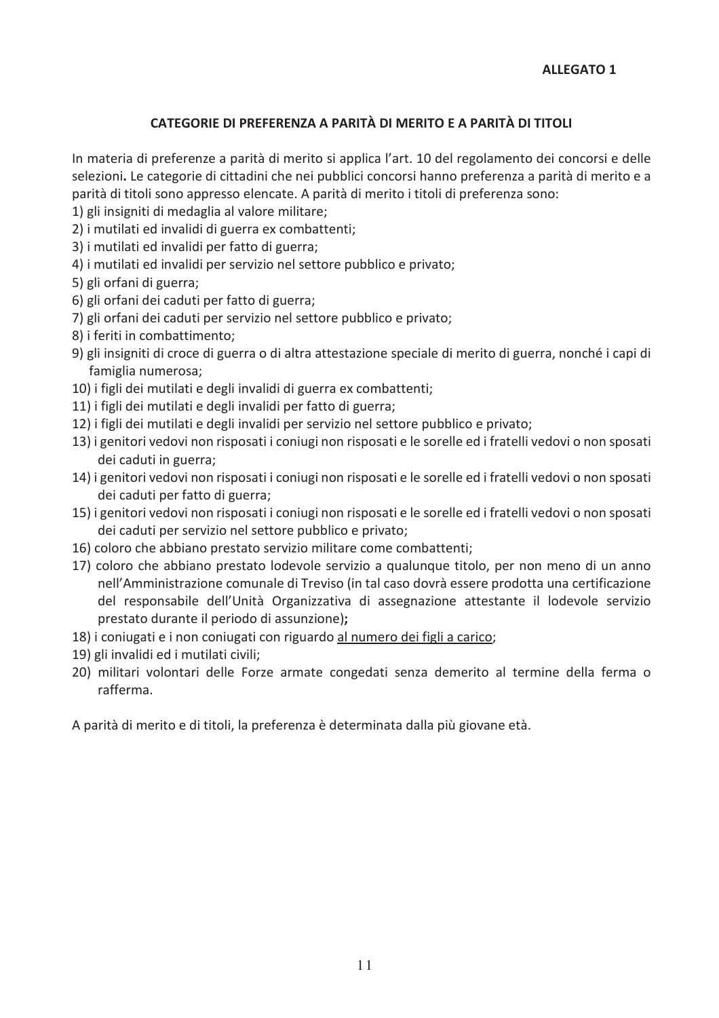### CATEGORIE DI PREFERENZA A PARITÀ DI MERITO E A PARITÀ DI TITOLI

In materia di preferenze a parità di merito si applica l'art. 10 del regolamento dei concorsi e delle selezioni. Le categorie di cittadini che nei pubblici concorsi hanno preferenza a parità di merito e a parità di titoli sono appresso elencate. A parità di merito i titoli di preferenza sono:

- 1) gli insigniti di medaglia al valore militare;
- 2) i mutilati ed invalidi di guerra ex combattenti;
- 3) i mutilati ed invalidi per fatto di guerra;
- 4) i mutilati ed invalidi per servizio nel settore pubblico e privato;
- 5) gli orfani di guerra;
- 6) gli orfani dei caduti per fatto di guerra;
- 7) gli orfani dei caduti per servizio nel settore pubblico e privato;
- 8) i feriti in combattimento;
- 9) gli insigniti di croce di guerra o di altra attestazione speciale di merito di guerra, nonché i capi di famiglia numerosa;
- 10) i figli dei mutilati e degli invalidi di guerra ex combattenti;
- 11) i figli dei mutilati e degli invalidi per fatto di guerra;
- 12) i figli dei mutilati e degli invalidi per servizio nel settore pubblico e privato;
- 13) i genitori vedovi non risposati i coniugi non risposati e le sorelle ed i fratelli vedovi o non sposati dei caduti in guerra;
- 14) i genitori vedovi non risposati i coniugi non risposati e le sorelle ed i fratelli vedovi o non sposati dei caduti per fatto di guerra;
- 15) i genitori vedovi non risposati i coniugi non risposati e le sorelle ed i fratelli vedovi o non sposati dei caduti per servizio nel settore pubblico e privato;
- 16) coloro che abbiano prestato servizio militare come combattenti;
- 17) coloro che abbiano prestato lodevole servizio a qualunque titolo, per non meno di un anno nell'Amministrazione comunale di Treviso (in tal caso dovrà essere prodotta una certificazione del responsabile dell'Unità Organizzativa di assegnazione attestante il lodevole servizio prestato durante il periodo di assunzione);
- 18) i coniugati e i non coniugati con riguardo al numero dei figli a carico;
- 19) gli invalidi ed i mutilati civili;
- 20) militari volontari delle Forze armate congedati senza demerito al termine della ferma o rafferma.

A parità di merito e di titoli, la preferenza è determinata dalla più giovane età.